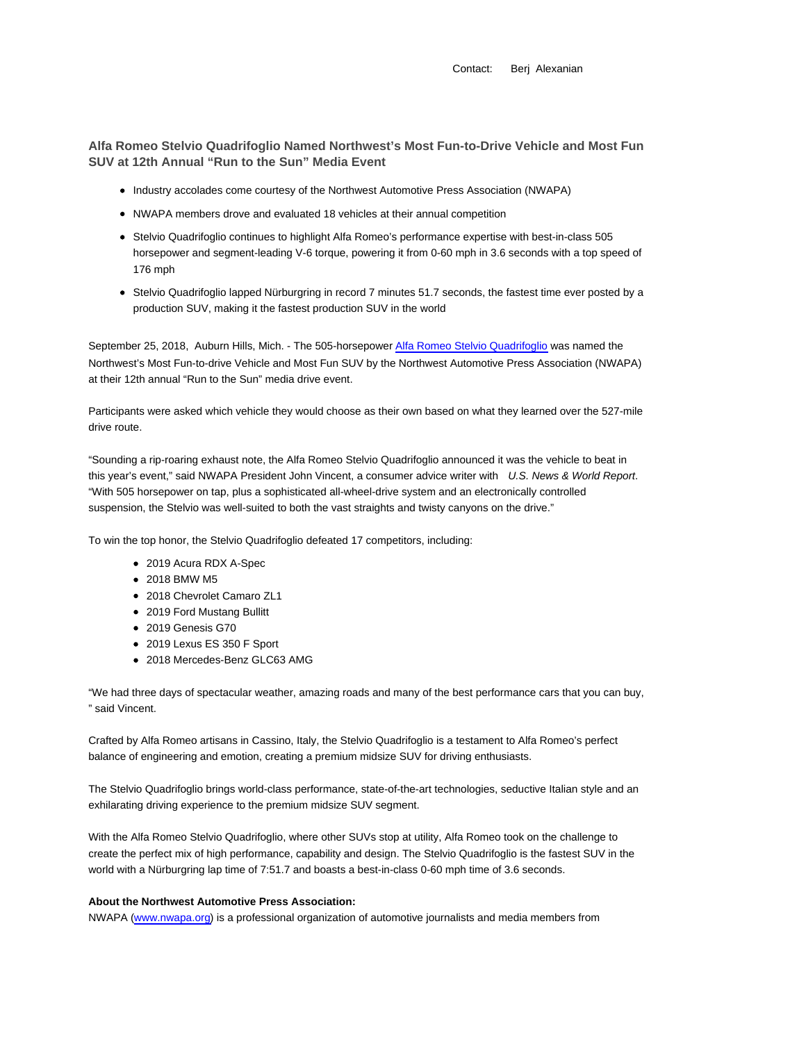Contact: Berj Alexanian

**Alfa Romeo Stelvio Quadrifoglio Named Northwest's Most Fun-to-Drive Vehicle and Most Fun SUV at 12th Annual "Run to the Sun" Media Event**

- Industry accolades come courtesy of the Northwest Automotive Press Association (NWAPA)
- NWAPA members drove and evaluated 18 vehicles at their annual competition
- Stelvio Quadrifoglio continues to highlight Alfa Romeo's performance expertise with best-in-class 505 horsepower and segment-leading V-6 torque, powering it from 0-60 mph in 3.6 seconds with a top speed of 176 mph
- Stelvio Quadrifoglio lapped Nürburgring in record 7 minutes 51.7 seconds, the fastest time ever posted by a production SUV, making it the fastest production SUV in the world

September 25, 2018, Auburn Hills, Mich. - The 505-horsepower Alfa Romeo Stelvio Quadrifoglio was named the Northwest's Most Fun-to-drive Vehicle and Most Fun SUV by the Northwest Automotive Press Association (NWAPA) at their 12th annual "Run to the Sun" media drive event.

Participants were asked which vehicle they would choose as their own based on what they learned over the 527-mile drive route.

"Sounding a rip-roaring exhaust note, the Alfa Romeo Stelvio Quadrifoglio announced it was the vehicle to beat in this year's event," said NWAPA President John Vincent, a consumer advice writer with U.S. News & World Report. "With 505 horsepower on tap, plus a sophisticated all-wheel-drive system and an electronically controlled suspension, the Stelvio was well-suited to both the vast straights and twisty canyons on the drive."

To win the top honor, the Stelvio Quadrifoglio defeated 17 competitors, including:

- 2019 Acura RDX A-Spec
- 2018 BMW M5
- 2018 Chevrolet Camaro ZL1
- 2019 Ford Mustang Bullitt
- 2019 Genesis G70
- 2019 Lexus ES 350 F Sport
- 2018 Mercedes-Benz GLC63 AMG

"We had three days of spectacular weather, amazing roads and many of the best performance cars that you can buy, " said Vincent.

Crafted by Alfa Romeo artisans in Cassino, Italy, the Stelvio Quadrifoglio is a testament to Alfa Romeo's perfect balance of engineering and emotion, creating a premium midsize SUV for driving enthusiasts.

The Stelvio Quadrifoglio brings world-class performance, state-of-the-art technologies, seductive Italian style and an exhilarating driving experience to the premium midsize SUV segment.

With the Alfa Romeo Stelvio Quadrifoglio, where other SUVs stop at utility, Alfa Romeo took on the challenge to create the perfect mix of high performance, capability and design. The Stelvio Quadrifoglio is the fastest SUV in the world with a Nürburgring lap time of 7:51.7 and boasts a best-in-class 0-60 mph time of 3.6 seconds.

## **About the Northwest Automotive Press Association:**

NWAPA (www.nwapa.org) is a professional organization of automotive journalists and media members from